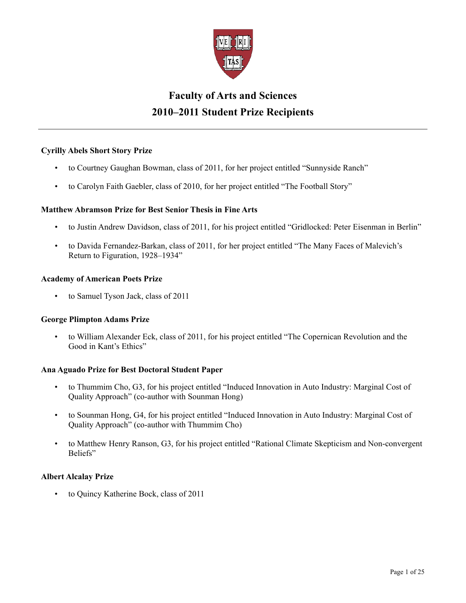

# **Faculty of Arts and Sciences 2010–2011 Student Prize Recipients**

# **Cyrilly Abels Short Story Prize**

- to Courtney Gaughan Bowman, class of 2011, for her project entitled "Sunnyside Ranch"
- to Carolyn Faith Gaebler, class of 2010, for her project entitled "The Football Story"

# **Matthew Abramson Prize for Best Senior Thesis in Fine Arts**

- to Justin Andrew Davidson, class of 2011, for his project entitled "Gridlocked: Peter Eisenman in Berlin"
- to Davida Fernandez-Barkan, class of 2011, for her project entitled "The Many Faces of Malevich's Return to Figuration, 1928–1934"

## **Academy of American Poets Prize**

• to Samuel Tyson Jack, class of 2011

#### **George Plimpton Adams Prize**

• to William Alexander Eck, class of 2011, for his project entitled "The Copernican Revolution and the Good in Kant's Ethics"

#### **Ana Aguado Prize for Best Doctoral Student Paper**

- to Thummim Cho, G3, for his project entitled "Induced Innovation in Auto Industry: Marginal Cost of Quality Approach" (co-author with Sounman Hong)
- to Sounman Hong, G4, for his project entitled "Induced Innovation in Auto Industry: Marginal Cost of Quality Approach" (co-author with Thummim Cho)
- to Matthew Henry Ranson, G3, for his project entitled "Rational Climate Skepticism and Non-convergent Beliefs"

#### **Albert Alcalay Prize**

• to Quincy Katherine Bock, class of 2011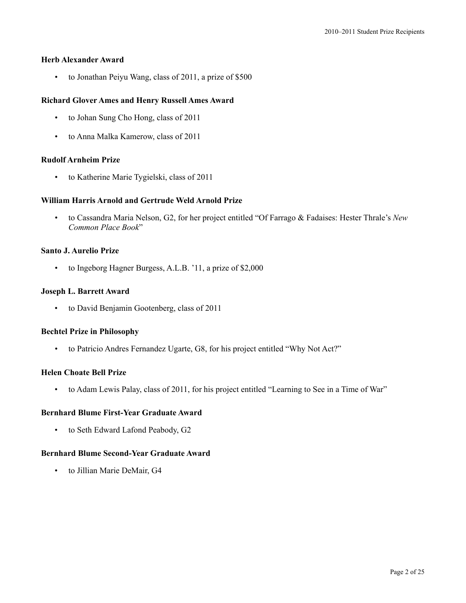# **Herb Alexander Award**

• to Jonathan Peiyu Wang, class of 2011, a prize of \$500

# **Richard Glover Ames and Henry Russell Ames Award**

- to Johan Sung Cho Hong, class of 2011
- to Anna Malka Kamerow, class of 2011

# **Rudolf Arnheim Prize**

• to Katherine Marie Tygielski, class of 2011

# **William Harris Arnold and Gertrude Weld Arnold Prize**

• to Cassandra Maria Nelson, G2, for her project entitled "Of Farrago & Fadaises: Hester Thrale's *New Common Place Book*"

# **Santo J. Aurelio Prize**

• to Ingeborg Hagner Burgess, A.L.B. '11, a prize of \$2,000

# **Joseph L. Barrett Award**

• to David Benjamin Gootenberg, class of 2011

# **Bechtel Prize in Philosophy**

• to Patricio Andres Fernandez Ugarte, G8, for his project entitled "Why Not Act?"

# **Helen Choate Bell Prize**

• to Adam Lewis Palay, class of 2011, for his project entitled "Learning to See in a Time of War"

# **Bernhard Blume First-Year Graduate Award**

• to Seth Edward Lafond Peabody, G2

# **Bernhard Blume Second-Year Graduate Award**

• to Jillian Marie DeMair, G4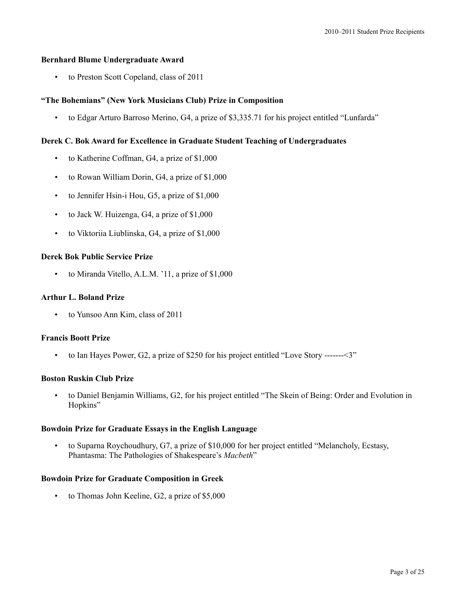## **Bernhard Blume Undergraduate Award**

• to Preston Scott Copeland, class of 2011

# **"The Bohemians" (New York Musicians Club) Prize in Composition**

• to Edgar Arturo Barroso Merino, G4, a prize of \$3,335.71 for his project entitled "Lunfarda"

## **Derek C. Bok Award for Excellence in Graduate Student Teaching of Undergraduates**

- to Katherine Coffman, G4, a prize of \$1,000
- to Rowan William Dorin, G4, a prize of \$1,000
- to Jennifer Hsin-i Hou, G5, a prize of \$1,000
- to Jack W. Huizenga, G4, a prize of \$1,000
- to Viktoriia Liublinska, G4, a prize of \$1,000

# **Derek Bok Public Service Prize**

to Miranda Vitello, A.L.M. '11, a prize of \$1,000

#### **Arthur L. Boland Prize**

• to Yunsoo Ann Kim, class of 2011

#### **Francis Boott Prize**

• to Ian Hayes Power, G2, a prize of \$250 for his project entitled "Love Story -------<3"

#### **Boston Ruskin Club Prize**

• to Daniel Benjamin Williams, G2, for his project entitled "The Skein of Being: Order and Evolution in Hopkins"

## **Bowdoin Prize for Graduate Essays in the English Language**

• to Suparna Roychoudhury, G7, a prize of \$10,000 for her project entitled "Melancholy, Ecstasy, Phantasma: The Pathologies of Shakespeare's *Macbeth*"

#### **Bowdoin Prize for Graduate Composition in Greek**

• to Thomas John Keeline, G2, a prize of \$5,000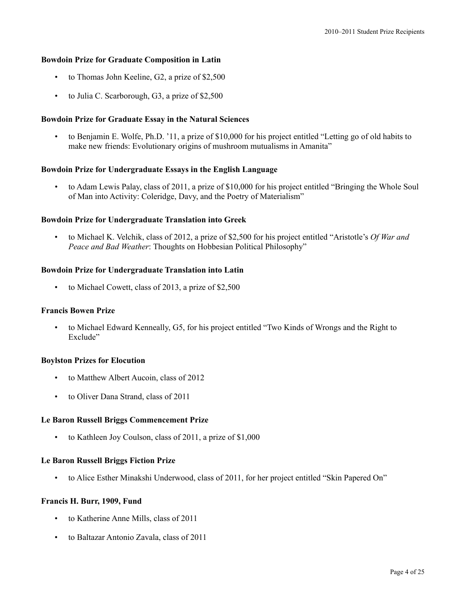#### **Bowdoin Prize for Graduate Composition in Latin**

- to Thomas John Keeline, G2, a prize of \$2,500
- to Julia C. Scarborough, G3, a prize of \$2,500

## **Bowdoin Prize for Graduate Essay in the Natural Sciences**

• to Benjamin E. Wolfe, Ph.D. '11, a prize of \$10,000 for his project entitled "Letting go of old habits to make new friends: Evolutionary origins of mushroom mutualisms in Amanita"

#### **Bowdoin Prize for Undergraduate Essays in the English Language**

• to Adam Lewis Palay, class of 2011, a prize of \$10,000 for his project entitled "Bringing the Whole Soul of Man into Activity: Coleridge, Davy, and the Poetry of Materialism"

#### **Bowdoin Prize for Undergraduate Translation into Greek**

• to Michael K. Velchik, class of 2012, a prize of \$2,500 for his project entitled "Aristotle's *Of War and Peace and Bad Weather*: Thoughts on Hobbesian Political Philosophy"

#### **Bowdoin Prize for Undergraduate Translation into Latin**

• to Michael Cowett, class of 2013, a prize of \$2,500

#### **Francis Bowen Prize**

• to Michael Edward Kenneally, G5, for his project entitled "Two Kinds of Wrongs and the Right to Exclude"

## **Boylston Prizes for Elocution**

- to Matthew Albert Aucoin, class of 2012
- to Oliver Dana Strand, class of 2011

#### **Le Baron Russell Briggs Commencement Prize**

• to Kathleen Joy Coulson, class of 2011, a prize of \$1,000

#### **Le Baron Russell Briggs Fiction Prize**

• to Alice Esther Minakshi Underwood, class of 2011, for her project entitled "Skin Papered On"

#### **Francis H. Burr, 1909, Fund**

- to Katherine Anne Mills, class of 2011
- to Baltazar Antonio Zavala, class of 2011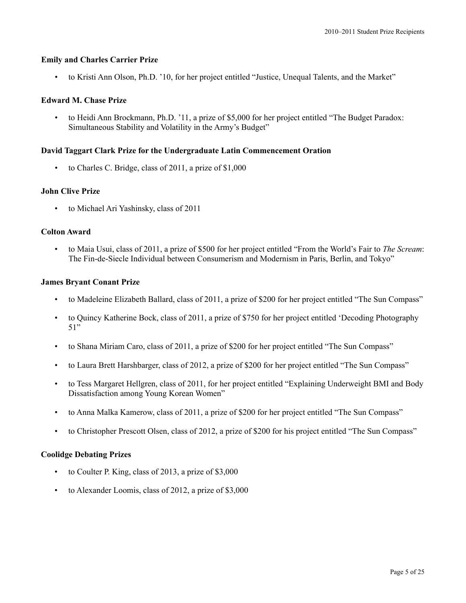## **Emily and Charles Carrier Prize**

• to Kristi Ann Olson, Ph.D. '10, for her project entitled "Justice, Unequal Talents, and the Market"

# **Edward M. Chase Prize**

• to Heidi Ann Brockmann, Ph.D. '11, a prize of \$5,000 for her project entitled "The Budget Paradox: Simultaneous Stability and Volatility in the Army's Budget"

## **David Taggart Clark Prize for the Undergraduate Latin Commencement Oration**

• to Charles C. Bridge, class of 2011, a prize of \$1,000

#### **John Clive Prize**

• to Michael Ari Yashinsky, class of 2011

## **Colton Award**

• to Maia Usui, class of 2011, a prize of \$500 for her project entitled "From the World's Fair to *The Scream*: The Fin-de-Siecle Individual between Consumerism and Modernism in Paris, Berlin, and Tokyo"

## **James Bryant Conant Prize**

- to Madeleine Elizabeth Ballard, class of 2011, a prize of \$200 for her project entitled "The Sun Compass"
- to Quincy Katherine Bock, class of 2011, a prize of \$750 for her project entitled 'Decoding Photography 51"
- to Shana Miriam Caro, class of 2011, a prize of \$200 for her project entitled "The Sun Compass"
- to Laura Brett Harshbarger, class of 2012, a prize of \$200 for her project entitled "The Sun Compass"
- to Tess Margaret Hellgren, class of 2011, for her project entitled "Explaining Underweight BMI and Body Dissatisfaction among Young Korean Women"
- to Anna Malka Kamerow, class of 2011, a prize of \$200 for her project entitled "The Sun Compass"
- to Christopher Prescott Olsen, class of 2012, a prize of \$200 for his project entitled "The Sun Compass"

#### **Coolidge Debating Prizes**

- to Coulter P. King, class of 2013, a prize of \$3,000
- to Alexander Loomis, class of 2012, a prize of \$3,000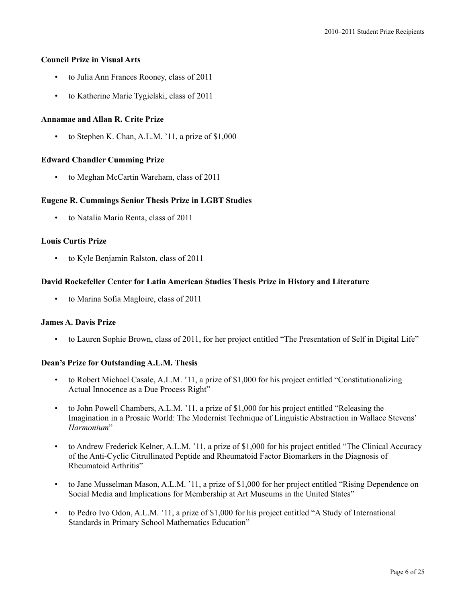# **Council Prize in Visual Arts**

- to Julia Ann Frances Rooney, class of 2011
- to Katherine Marie Tygielski, class of 2011

# **Annamae and Allan R. Crite Prize**

to Stephen K. Chan, A.L.M. '11, a prize of \$1,000

# **Edward Chandler Cumming Prize**

• to Meghan McCartin Wareham, class of 2011

# **Eugene R. Cummings Senior Thesis Prize in LGBT Studies**

• to Natalia Maria Renta, class of 2011

# **Louis Curtis Prize**

• to Kyle Benjamin Ralston, class of 2011

# **David Rockefeller Center for Latin American Studies Thesis Prize in History and Literature**

• to Marina Sofia Magloire, class of 2011

# **James A. Davis Prize**

• to Lauren Sophie Brown, class of 2011, for her project entitled "The Presentation of Self in Digital Life"

# **Dean's Prize for Outstanding A.L.M. Thesis**

- to Robert Michael Casale, A.L.M. '11, a prize of \$1,000 for his project entitled "Constitutionalizing Actual Innocence as a Due Process Right"
- to John Powell Chambers, A.L.M. '11, a prize of \$1,000 for his project entitled "Releasing the Imagination in a Prosaic World: The Modernist Technique of Linguistic Abstraction in Wallace Stevens' *Harmonium*"
- to Andrew Frederick Kelner, A.L.M. '11, a prize of \$1,000 for his project entitled "The Clinical Accuracy of the Anti-Cyclic Citrullinated Peptide and Rheumatoid Factor Biomarkers in the Diagnosis of Rheumatoid Arthritis"
- to Jane Musselman Mason, A.L.M. '11, a prize of \$1,000 for her project entitled "Rising Dependence on Social Media and Implications for Membership at Art Museums in the United States"
- to Pedro Ivo Odon, A.L.M. '11, a prize of \$1,000 for his project entitled "A Study of International Standards in Primary School Mathematics Education"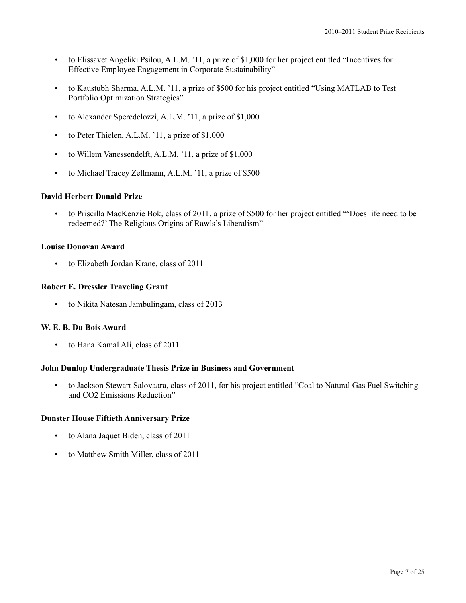- to Elissavet Angeliki Psilou, A.L.M. '11, a prize of \$1,000 for her project entitled "Incentives for Effective Employee Engagement in Corporate Sustainability"
- to Kaustubh Sharma, A.L.M. '11, a prize of \$500 for his project entitled "Using MATLAB to Test Portfolio Optimization Strategies"
- to Alexander Speredelozzi, A.L.M. '11, a prize of \$1,000
- to Peter Thielen, A.L.M. '11, a prize of \$1,000
- to Willem Vanessendelft, A.L.M. '11, a prize of \$1,000
- to Michael Tracey Zellmann, A.L.M. '11, a prize of \$500

# **David Herbert Donald Prize**

• to Priscilla MacKenzie Bok, class of 2011, a prize of \$500 for her project entitled "'Does life need to be redeemed?' The Religious Origins of Rawls's Liberalism"

# **Louise Donovan Award**

• to Elizabeth Jordan Krane, class of 2011

## **Robert E. Dressler Traveling Grant**

• to Nikita Natesan Jambulingam, class of 2013

#### **W. E. B. Du Bois Award**

• to Hana Kamal Ali, class of 2011

# **John Dunlop Undergraduate Thesis Prize in Business and Government**

• to Jackson Stewart Salovaara, class of 2011, for his project entitled "Coal to Natural Gas Fuel Switching and CO2 Emissions Reduction"

# **Dunster House Fiftieth Anniversary Prize**

- to Alana Jaquet Biden, class of 2011
- to Matthew Smith Miller, class of 2011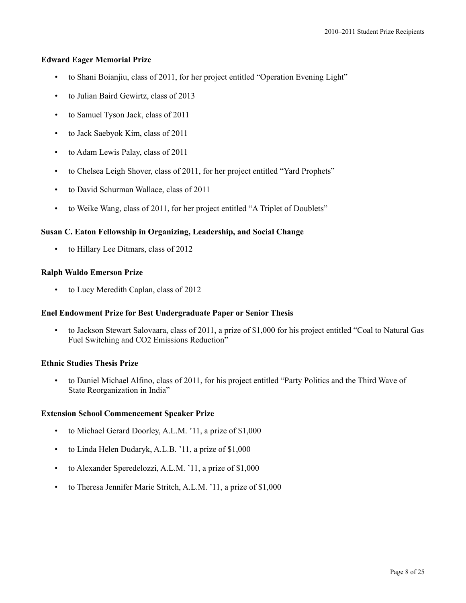# **Edward Eager Memorial Prize**

- to Shani Boianjiu, class of 2011, for her project entitled "Operation Evening Light"
- to Julian Baird Gewirtz, class of 2013
- to Samuel Tyson Jack, class of 2011
- to Jack Saebyok Kim, class of 2011
- to Adam Lewis Palay, class of 2011
- to Chelsea Leigh Shover, class of 2011, for her project entitled "Yard Prophets"
- to David Schurman Wallace, class of 2011
- to Weike Wang, class of 2011, for her project entitled "A Triplet of Doublets"

# **Susan C. Eaton Fellowship in Organizing, Leadership, and Social Change**

• to Hillary Lee Ditmars, class of 2012

# **Ralph Waldo Emerson Prize**

to Lucy Meredith Caplan, class of 2012

# **Enel Endowment Prize for Best Undergraduate Paper or Senior Thesis**

• to Jackson Stewart Salovaara, class of 2011, a prize of \$1,000 for his project entitled "Coal to Natural Gas Fuel Switching and CO2 Emissions Reduction"

# **Ethnic Studies Thesis Prize**

• to Daniel Michael Alfino, class of 2011, for his project entitled "Party Politics and the Third Wave of State Reorganization in India"

# **Extension School Commencement Speaker Prize**

- to Michael Gerard Doorley, A.L.M. '11, a prize of \$1,000
- to Linda Helen Dudaryk, A.L.B. '11, a prize of \$1,000
- to Alexander Speredelozzi, A.L.M. '11, a prize of \$1,000
- to Theresa Jennifer Marie Stritch, A.L.M. '11, a prize of \$1,000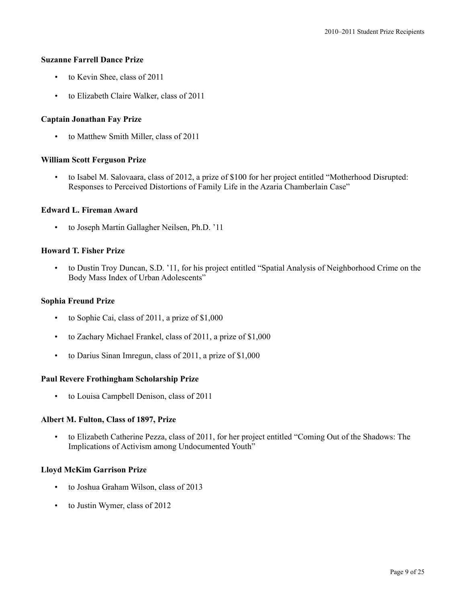## **Suzanne Farrell Dance Prize**

- to Kevin Shee, class of 2011
- to Elizabeth Claire Walker, class of 2011

## **Captain Jonathan Fay Prize**

• to Matthew Smith Miller, class of 2011

#### **William Scott Ferguson Prize**

• to Isabel M. Salovaara, class of 2012, a prize of \$100 for her project entitled "Motherhood Disrupted: Responses to Perceived Distortions of Family Life in the Azaria Chamberlain Case"

#### **Edward L. Fireman Award**

• to Joseph Martin Gallagher Neilsen, Ph.D. '11

## **Howard T. Fisher Prize**

• to Dustin Troy Duncan, S.D. '11, for his project entitled "Spatial Analysis of Neighborhood Crime on the Body Mass Index of Urban Adolescents"

## **Sophia Freund Prize**

- to Sophie Cai, class of 2011, a prize of \$1,000
- to Zachary Michael Frankel, class of 2011, a prize of \$1,000
- to Darius Sinan Imregun, class of 2011, a prize of \$1,000

#### **Paul Revere Frothingham Scholarship Prize**

• to Louisa Campbell Denison, class of 2011

## **Albert M. Fulton, Class of 1897, Prize**

• to Elizabeth Catherine Pezza, class of 2011, for her project entitled "Coming Out of the Shadows: The Implications of Activism among Undocumented Youth"

#### **Lloyd McKim Garrison Prize**

- to Joshua Graham Wilson, class of 2013
- to Justin Wymer, class of 2012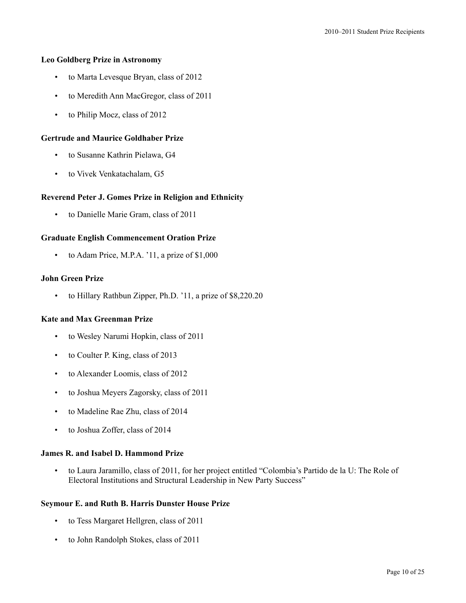## **Leo Goldberg Prize in Astronomy**

- to Marta Levesque Bryan, class of 2012
- to Meredith Ann MacGregor, class of 2011
- to Philip Mocz, class of 2012

## **Gertrude and Maurice Goldhaber Prize**

- to Susanne Kathrin Pielawa, G4
- to Vivek Venkatachalam, G5

## **Reverend Peter J. Gomes Prize in Religion and Ethnicity**

• to Danielle Marie Gram, class of 2011

## **Graduate English Commencement Oration Prize**

• to Adam Price, M.P.A. '11, a prize of \$1,000

## **John Green Prize**

• to Hillary Rathbun Zipper, Ph.D. '11, a prize of \$8,220.20

#### **Kate and Max Greenman Prize**

- to Wesley Narumi Hopkin, class of 2011
- to Coulter P. King, class of 2013
- to Alexander Loomis, class of 2012
- to Joshua Meyers Zagorsky, class of 2011
- to Madeline Rae Zhu, class of 2014
- to Joshua Zoffer, class of 2014

# **James R. and Isabel D. Hammond Prize**

• to Laura Jaramillo, class of 2011, for her project entitled "Colombia's Partido de la U: The Role of Electoral Institutions and Structural Leadership in New Party Success"

## **Seymour E. and Ruth B. Harris Dunster House Prize**

- to Tess Margaret Hellgren, class of 2011
- to John Randolph Stokes, class of 2011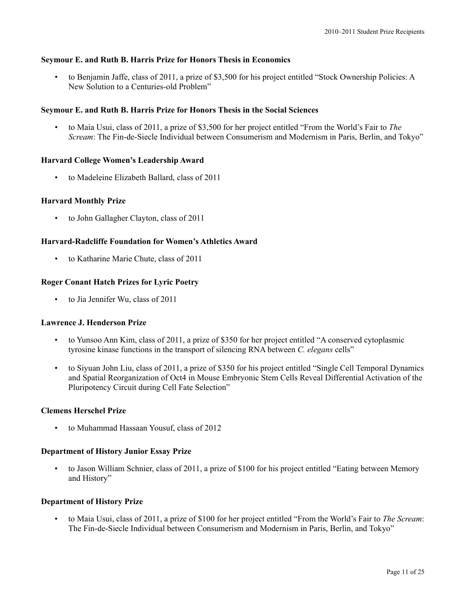# **Seymour E. and Ruth B. Harris Prize for Honors Thesis in Economics**

• to Benjamin Jaffe, class of 2011, a prize of \$3,500 for his project entitled "Stock Ownership Policies: A New Solution to a Centuries-old Problem"

# **Seymour E. and Ruth B. Harris Prize for Honors Thesis in the Social Sciences**

• to Maia Usui, class of 2011, a prize of \$3,500 for her project entitled "From the World's Fair to *The Scream*: The Fin-de-Siecle Individual between Consumerism and Modernism in Paris, Berlin, and Tokyo"

# **Harvard College Women's Leadership Award**

• to Madeleine Elizabeth Ballard, class of 2011

# **Harvard Monthly Prize**

• to John Gallagher Clayton, class of 2011

# **Harvard-Radcliffe Foundation for Women's Athletics Award**

• to Katharine Marie Chute, class of 2011

# **Roger Conant Hatch Prizes for Lyric Poetry**

• to Jia Jennifer Wu, class of 2011

# **Lawrence J. Henderson Prize**

- to Yunsoo Ann Kim, class of 2011, a prize of \$350 for her project entitled "A conserved cytoplasmic tyrosine kinase functions in the transport of silencing RNA between *C. elegans* cells"
- to Siyuan John Liu, class of 2011, a prize of \$350 for his project entitled "Single Cell Temporal Dynamics and Spatial Reorganization of Oct4 in Mouse Embryonic Stem Cells Reveal Differential Activation of the Pluripotency Circuit during Cell Fate Selection"

# **Clemens Herschel Prize**

• to Muhammad Hassaan Yousuf, class of 2012

# **Department of History Junior Essay Prize**

to Jason William Schnier, class of 2011, a prize of \$100 for his project entitled "Eating between Memory and History"

# **Department of History Prize**

• to Maia Usui, class of 2011, a prize of \$100 for her project entitled "From the World's Fair to *The Scream*: The Fin-de-Siecle Individual between Consumerism and Modernism in Paris, Berlin, and Tokyo"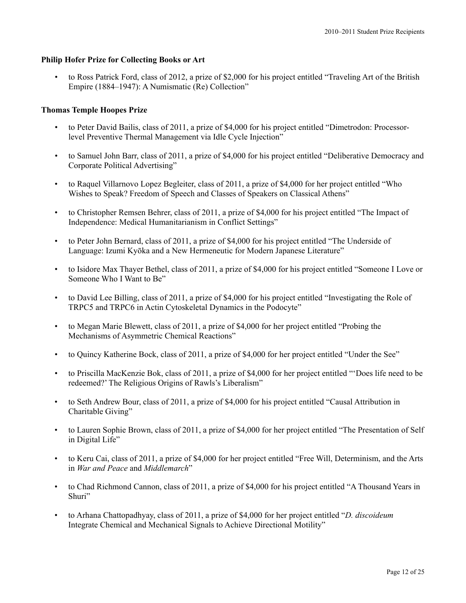# **Philip Hofer Prize for Collecting Books or Art**

• to Ross Patrick Ford, class of 2012, a prize of \$2,000 for his project entitled "Traveling Art of the British Empire (1884–1947): A Numismatic (Re) Collection"

# **Thomas Temple Hoopes Prize**

- to Peter David Bailis, class of 2011, a prize of \$4,000 for his project entitled "Dimetrodon: Processorlevel Preventive Thermal Management via Idle Cycle Injection"
- to Samuel John Barr, class of 2011, a prize of \$4,000 for his project entitled "Deliberative Democracy and Corporate Political Advertising"
- to Raquel Villarnovo Lopez Begleiter, class of 2011, a prize of \$4,000 for her project entitled "Who Wishes to Speak? Freedom of Speech and Classes of Speakers on Classical Athens"
- to Christopher Remsen Behrer, class of 2011, a prize of \$4,000 for his project entitled "The Impact of Independence: Medical Humanitarianism in Conflict Settings"
- to Peter John Bernard, class of 2011, a prize of \$4,000 for his project entitled "The Underside of Language: Izumi Kyōka and a New Hermeneutic for Modern Japanese Literature"
- to Isidore Max Thayer Bethel, class of 2011, a prize of \$4,000 for his project entitled "Someone I Love or Someone Who I Want to Be"
- to David Lee Billing, class of 2011, a prize of \$4,000 for his project entitled "Investigating the Role of TRPC5 and TRPC6 in Actin Cytoskeletal Dynamics in the Podocyte"
- to Megan Marie Blewett, class of 2011, a prize of \$4,000 for her project entitled "Probing the Mechanisms of Asymmetric Chemical Reactions"
- to Quincy Katherine Bock, class of 2011, a prize of \$4,000 for her project entitled "Under the See"
- to Priscilla MacKenzie Bok, class of 2011, a prize of \$4,000 for her project entitled "'Does life need to be redeemed?' The Religious Origins of Rawls's Liberalism"
- to Seth Andrew Bour, class of 2011, a prize of \$4,000 for his project entitled "Causal Attribution in Charitable Giving"
- to Lauren Sophie Brown, class of 2011, a prize of \$4,000 for her project entitled "The Presentation of Self in Digital Life"
- to Keru Cai, class of 2011, a prize of \$4,000 for her project entitled "Free Will, Determinism, and the Arts in *War and Peace* and *Middlemarch*"
- to Chad Richmond Cannon, class of 2011, a prize of \$4,000 for his project entitled "A Thousand Years in Shuri"
- to Arhana Chattopadhyay, class of 2011, a prize of \$4,000 for her project entitled "*D. discoideum* Integrate Chemical and Mechanical Signals to Achieve Directional Motility"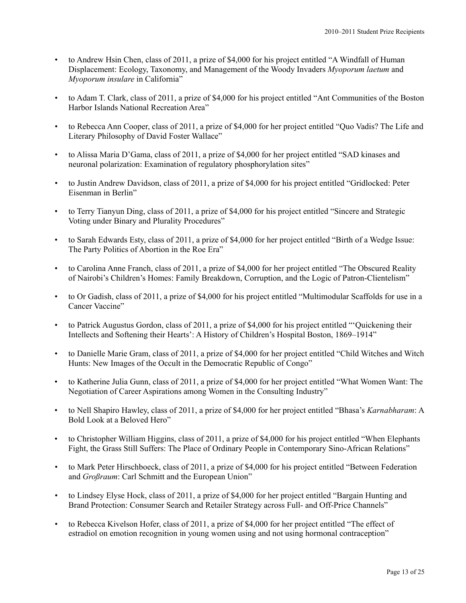- to Andrew Hsin Chen, class of 2011, a prize of \$4,000 for his project entitled "A Windfall of Human Displacement: Ecology, Taxonomy, and Management of the Woody Invaders *Myoporum laetum* and *Myoporum insulare* in California"
- to Adam T. Clark, class of 2011, a prize of \$4,000 for his project entitled "Ant Communities of the Boston Harbor Islands National Recreation Area"
- to Rebecca Ann Cooper, class of 2011, a prize of \$4,000 for her project entitled "Quo Vadis? The Life and Literary Philosophy of David Foster Wallace"
- to Alissa Maria D'Gama, class of 2011, a prize of \$4,000 for her project entitled "SAD kinases and neuronal polarization: Examination of regulatory phosphorylation sites"
- to Justin Andrew Davidson, class of 2011, a prize of \$4,000 for his project entitled "Gridlocked: Peter Eisenman in Berlin"
- to Terry Tianyun Ding, class of 2011, a prize of \$4,000 for his project entitled "Sincere and Strategic Voting under Binary and Plurality Procedures"
- to Sarah Edwards Esty, class of 2011, a prize of \$4,000 for her project entitled "Birth of a Wedge Issue: The Party Politics of Abortion in the Roe Era"
- to Carolina Anne Franch, class of 2011, a prize of \$4,000 for her project entitled "The Obscured Reality of Nairobi's Children's Homes: Family Breakdown, Corruption, and the Logic of Patron-Clientelism"
- to Or Gadish, class of 2011, a prize of \$4,000 for his project entitled "Multimodular Scaffolds for use in a Cancer Vaccine"
- to Patrick Augustus Gordon, class of 2011, a prize of \$4,000 for his project entitled "'Quickening their Intellects and Softening their Hearts': A History of Children's Hospital Boston, 1869–1914"
- to Danielle Marie Gram, class of 2011, a prize of \$4,000 for her project entitled "Child Witches and Witch Hunts: New Images of the Occult in the Democratic Republic of Congo"
- to Katherine Julia Gunn, class of 2011, a prize of \$4,000 for her project entitled "What Women Want: The Negotiation of Career Aspirations among Women in the Consulting Industry"
- to Nell Shapiro Hawley, class of 2011, a prize of \$4,000 for her project entitled "Bhasa's *Karnabharam*: A Bold Look at a Beloved Hero"
- to Christopher William Higgins, class of 2011, a prize of \$4,000 for his project entitled "When Elephants Fight, the Grass Still Suffers: The Place of Ordinary People in Contemporary Sino-African Relations"
- to Mark Peter Hirschboeck, class of 2011, a prize of \$4,000 for his project entitled "Between Federation and *Großraum*: Carl Schmitt and the European Union"
- to Lindsey Elyse Hock, class of 2011, a prize of \$4,000 for her project entitled "Bargain Hunting and Brand Protection: Consumer Search and Retailer Strategy across Full- and Off-Price Channels"
- to Rebecca Kivelson Hofer, class of 2011, a prize of \$4,000 for her project entitled "The effect of estradiol on emotion recognition in young women using and not using hormonal contraception"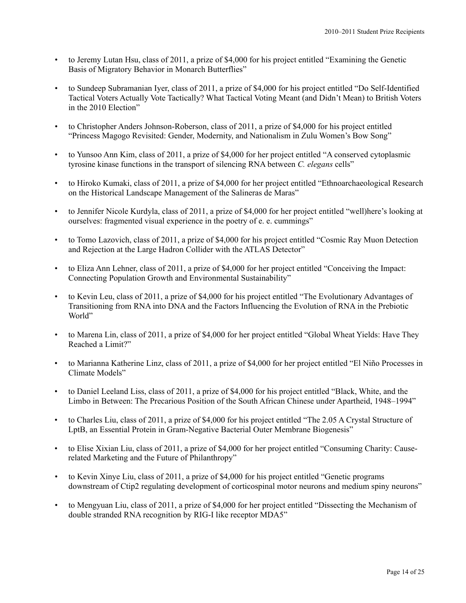- to Jeremy Lutan Hsu, class of 2011, a prize of \$4,000 for his project entitled "Examining the Genetic Basis of Migratory Behavior in Monarch Butterflies"
- to Sundeep Subramanian Iyer, class of 2011, a prize of \$4,000 for his project entitled "Do Self-Identified Tactical Voters Actually Vote Tactically? What Tactical Voting Meant (and Didn't Mean) to British Voters in the 2010 Election"
- to Christopher Anders Johnson-Roberson, class of 2011, a prize of \$4,000 for his project entitled "Princess Magogo Revisited: Gender, Modernity, and Nationalism in Zulu Women's Bow Song"
- to Yunsoo Ann Kim, class of 2011, a prize of \$4,000 for her project entitled "A conserved cytoplasmic tyrosine kinase functions in the transport of silencing RNA between *C. elegans* cells"
- to Hiroko Kumaki, class of 2011, a prize of \$4,000 for her project entitled "Ethnoarchaeological Research on the Historical Landscape Management of the Salineras de Maras"
- to Jennifer Nicole Kurdyla, class of 2011, a prize of \$4,000 for her project entitled "well)here's looking at ourselves: fragmented visual experience in the poetry of e. e. cummings"
- to Tomo Lazovich, class of 2011, a prize of \$4,000 for his project entitled "Cosmic Ray Muon Detection and Rejection at the Large Hadron Collider with the ATLAS Detector"
- to Eliza Ann Lehner, class of 2011, a prize of \$4,000 for her project entitled "Conceiving the Impact: Connecting Population Growth and Environmental Sustainability"
- to Kevin Leu, class of 2011, a prize of \$4,000 for his project entitled "The Evolutionary Advantages of Transitioning from RNA into DNA and the Factors Influencing the Evolution of RNA in the Prebiotic World"
- to Marena Lin, class of 2011, a prize of \$4,000 for her project entitled "Global Wheat Yields: Have They Reached a Limit?"
- to Marianna Katherine Linz, class of 2011, a prize of \$4,000 for her project entitled "El Niño Processes in Climate Models"
- to Daniel Leeland Liss, class of 2011, a prize of \$4,000 for his project entitled "Black, White, and the Limbo in Between: The Precarious Position of the South African Chinese under Apartheid, 1948–1994"
- to Charles Liu, class of 2011, a prize of \$4,000 for his project entitled "The 2.05 A Crystal Structure of LptB, an Essential Protein in Gram-Negative Bacterial Outer Membrane Biogenesis"
- to Elise Xixian Liu, class of 2011, a prize of \$4,000 for her project entitled "Consuming Charity: Causerelated Marketing and the Future of Philanthropy"
- to Kevin Xinye Liu, class of 2011, a prize of \$4,000 for his project entitled "Genetic programs downstream of Ctip2 regulating development of corticospinal motor neurons and medium spiny neurons"
- to Mengyuan Liu, class of 2011, a prize of \$4,000 for her project entitled "Dissecting the Mechanism of double stranded RNA recognition by RIG-I like receptor MDA5"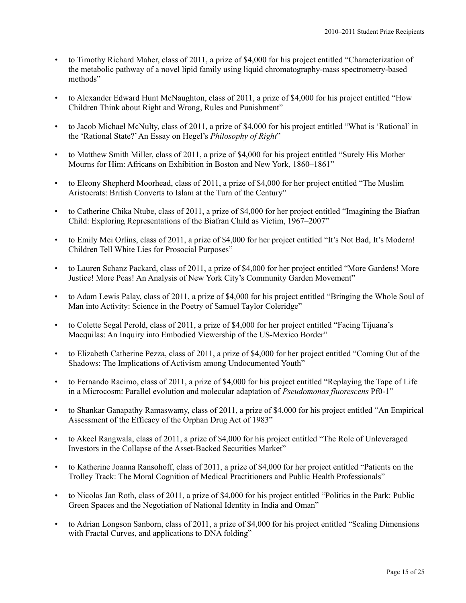- to Timothy Richard Maher, class of 2011, a prize of \$4,000 for his project entitled "Characterization of the metabolic pathway of a novel lipid family using liquid chromatography-mass spectrometry-based methods"
- to Alexander Edward Hunt McNaughton, class of 2011, a prize of \$4,000 for his project entitled "How Children Think about Right and Wrong, Rules and Punishment"
- to Jacob Michael McNulty, class of 2011, a prize of \$4,000 for his project entitled "What is 'Rational' in the 'Rational State?'An Essay on Hegel's *Philosophy of Right*"
- to Matthew Smith Miller, class of 2011, a prize of \$4,000 for his project entitled "Surely His Mother Mourns for Him: Africans on Exhibition in Boston and New York, 1860–1861"
- to Eleony Shepherd Moorhead, class of 2011, a prize of \$4,000 for her project entitled "The Muslim Aristocrats: British Converts to Islam at the Turn of the Century"
- to Catherine Chika Ntube, class of 2011, a prize of \$4,000 for her project entitled "Imagining the Biafran Child: Exploring Representations of the Biafran Child as Victim, 1967–2007"
- to Emily Mei Orlins, class of 2011, a prize of \$4,000 for her project entitled "It's Not Bad, It's Modern! Children Tell White Lies for Prosocial Purposes"
- to Lauren Schanz Packard, class of 2011, a prize of \$4,000 for her project entitled "More Gardens! More Justice! More Peas! An Analysis of New York City's Community Garden Movement"
- to Adam Lewis Palay, class of 2011, a prize of \$4,000 for his project entitled "Bringing the Whole Soul of Man into Activity: Science in the Poetry of Samuel Taylor Coleridge"
- to Colette Segal Perold, class of 2011, a prize of \$4,000 for her project entitled "Facing Tijuana's Macquilas: An Inquiry into Embodied Viewership of the US-Mexico Border"
- to Elizabeth Catherine Pezza, class of 2011, a prize of \$4,000 for her project entitled "Coming Out of the Shadows: The Implications of Activism among Undocumented Youth"
- to Fernando Racimo, class of 2011, a prize of \$4,000 for his project entitled "Replaying the Tape of Life in a Microcosm: Parallel evolution and molecular adaptation of *Pseudomonas fluorescens* Pf0-1"
- to Shankar Ganapathy Ramaswamy, class of 2011, a prize of \$4,000 for his project entitled "An Empirical Assessment of the Efficacy of the Orphan Drug Act of 1983"
- to Akeel Rangwala, class of 2011, a prize of \$4,000 for his project entitled "The Role of Unleveraged Investors in the Collapse of the Asset-Backed Securities Market"
- to Katherine Joanna Ransohoff, class of 2011, a prize of \$4,000 for her project entitled "Patients on the Trolley Track: The Moral Cognition of Medical Practitioners and Public Health Professionals"
- to Nicolas Jan Roth, class of 2011, a prize of \$4,000 for his project entitled "Politics in the Park: Public Green Spaces and the Negotiation of National Identity in India and Oman"
- to Adrian Longson Sanborn, class of 2011, a prize of \$4,000 for his project entitled "Scaling Dimensions with Fractal Curves, and applications to DNA folding"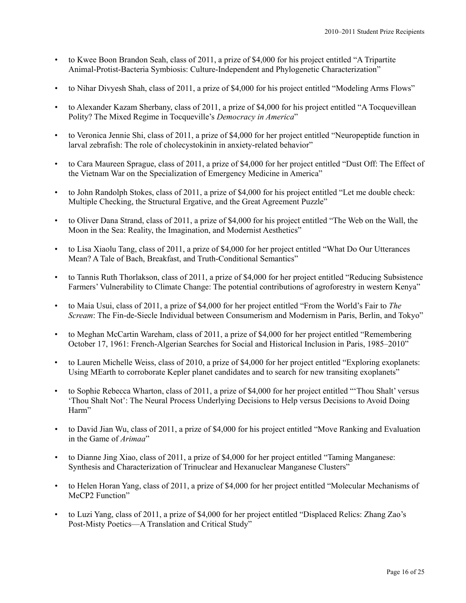- to Kwee Boon Brandon Seah, class of 2011, a prize of \$4,000 for his project entitled "A Tripartite Animal-Protist-Bacteria Symbiosis: Culture-Independent and Phylogenetic Characterization"
- to Nihar Divyesh Shah, class of 2011, a prize of \$4,000 for his project entitled "Modeling Arms Flows"
- to Alexander Kazam Sherbany, class of 2011, a prize of \$4,000 for his project entitled "A Tocquevillean Polity? The Mixed Regime in Tocqueville's *Democracy in America*"
- to Veronica Jennie Shi, class of 2011, a prize of \$4,000 for her project entitled "Neuropeptide function in larval zebrafish: The role of cholecystokinin in anxiety-related behavior"
- to Cara Maureen Sprague, class of 2011, a prize of \$4,000 for her project entitled "Dust Off: The Effect of the Vietnam War on the Specialization of Emergency Medicine in America"
- to John Randolph Stokes, class of 2011, a prize of \$4,000 for his project entitled "Let me double check: Multiple Checking, the Structural Ergative, and the Great Agreement Puzzle"
- to Oliver Dana Strand, class of 2011, a prize of \$4,000 for his project entitled "The Web on the Wall, the Moon in the Sea: Reality, the Imagination, and Modernist Aesthetics"
- to Lisa Xiaolu Tang, class of 2011, a prize of \$4,000 for her project entitled "What Do Our Utterances Mean? A Tale of Bach, Breakfast, and Truth-Conditional Semantics"
- to Tannis Ruth Thorlakson, class of 2011, a prize of \$4,000 for her project entitled "Reducing Subsistence Farmers' Vulnerability to Climate Change: The potential contributions of agroforestry in western Kenya"
- to Maia Usui, class of 2011, a prize of \$4,000 for her project entitled "From the World's Fair to *The Scream*: The Fin-de-Siecle Individual between Consumerism and Modernism in Paris, Berlin, and Tokyo"
- to Meghan McCartin Wareham, class of 2011, a prize of \$4,000 for her project entitled "Remembering October 17, 1961: French-Algerian Searches for Social and Historical Inclusion in Paris, 1985–2010"
- to Lauren Michelle Weiss, class of 2010, a prize of \$4,000 for her project entitled "Exploring exoplanets: Using MEarth to corroborate Kepler planet candidates and to search for new transiting exoplanets"
- to Sophie Rebecca Wharton, class of 2011, a prize of \$4,000 for her project entitled "'Thou Shalt' versus 'Thou Shalt Not': The Neural Process Underlying Decisions to Help versus Decisions to Avoid Doing Harm"
- to David Jian Wu, class of 2011, a prize of \$4,000 for his project entitled "Move Ranking and Evaluation in the Game of *Arimaa*"
- to Dianne Jing Xiao, class of 2011, a prize of \$4,000 for her project entitled "Taming Manganese: Synthesis and Characterization of Trinuclear and Hexanuclear Manganese Clusters"
- to Helen Horan Yang, class of 2011, a prize of \$4,000 for her project entitled "Molecular Mechanisms of MeCP2 Function"
- to Luzi Yang, class of 2011, a prize of \$4,000 for her project entitled "Displaced Relics: Zhang Zao's Post-Misty Poetics—A Translation and Critical Study"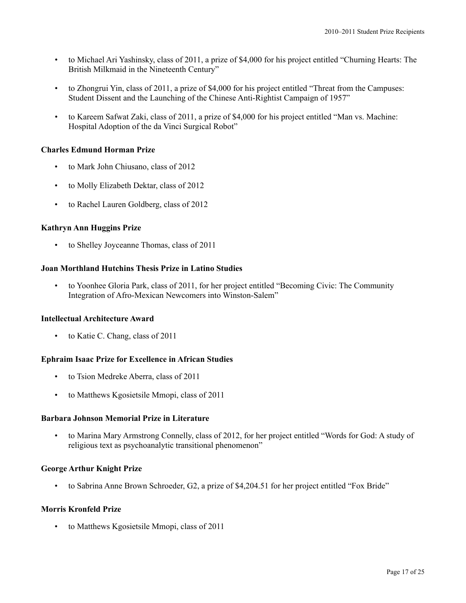- to Michael Ari Yashinsky, class of 2011, a prize of \$4,000 for his project entitled "Churning Hearts: The British Milkmaid in the Nineteenth Century"
- to Zhongrui Yin, class of 2011, a prize of \$4,000 for his project entitled "Threat from the Campuses: Student Dissent and the Launching of the Chinese Anti-Rightist Campaign of 1957"
- to Kareem Safwat Zaki, class of 2011, a prize of \$4,000 for his project entitled "Man vs. Machine: Hospital Adoption of the da Vinci Surgical Robot"

# **Charles Edmund Horman Prize**

- to Mark John Chiusano, class of 2012
- to Molly Elizabeth Dektar, class of 2012
- to Rachel Lauren Goldberg, class of 2012

## **Kathryn Ann Huggins Prize**

• to Shelley Joyceanne Thomas, class of 2011

## **Joan Morthland Hutchins Thesis Prize in Latino Studies**

• to Yoonhee Gloria Park, class of 2011, for her project entitled "Becoming Civic: The Community Integration of Afro-Mexican Newcomers into Winston-Salem"

#### **Intellectual Architecture Award**

• to Katie C. Chang, class of 2011

#### **Ephraim Isaac Prize for Excellence in African Studies**

- to Tsion Medreke Aberra, class of 2011
- to Matthews Kgosietsile Mmopi, class of 2011

## **Barbara Johnson Memorial Prize in Literature**

• to Marina Mary Armstrong Connelly, class of 2012, for her project entitled "Words for God: A study of religious text as psychoanalytic transitional phenomenon"

# **George Arthur Knight Prize**

• to Sabrina Anne Brown Schroeder, G2, a prize of \$4,204.51 for her project entitled "Fox Bride"

## **Morris Kronfeld Prize**

• to Matthews Kgosietsile Mmopi, class of 2011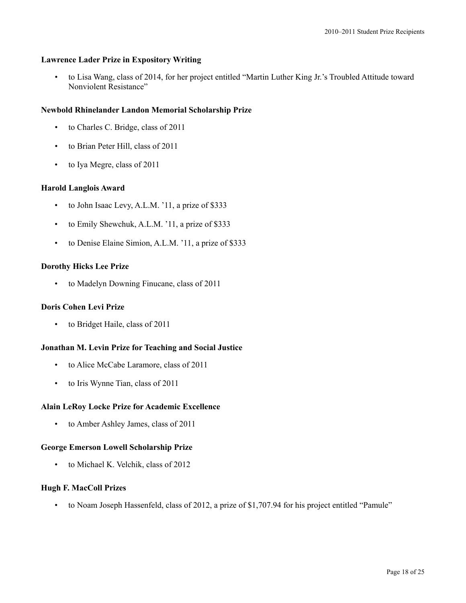# **Lawrence Lader Prize in Expository Writing**

• to Lisa Wang, class of 2014, for her project entitled "Martin Luther King Jr.'s Troubled Attitude toward Nonviolent Resistance"

## **Newbold Rhinelander Landon Memorial Scholarship Prize**

- to Charles C. Bridge, class of 2011
- to Brian Peter Hill, class of 2011
- to Iya Megre, class of 2011

## **Harold Langlois Award**

- to John Isaac Levy, A.L.M. '11, a prize of \$333
- to Emily Shewchuk, A.L.M. '11, a prize of \$333
- to Denise Elaine Simion, A.L.M. '11, a prize of \$333

## **Dorothy Hicks Lee Prize**

• to Madelyn Downing Finucane, class of 2011

#### **Doris Cohen Levi Prize**

to Bridget Haile, class of 2011

# **Jonathan M. Levin Prize for Teaching and Social Justice**

- to Alice McCabe Laramore, class of 2011
- to Iris Wynne Tian, class of 2011

#### **Alain LeRoy Locke Prize for Academic Excellence**

• to Amber Ashley James, class of 2011

#### **George Emerson Lowell Scholarship Prize**

• to Michael K. Velchik, class of 2012

# **Hugh F. MacColl Prizes**

• to Noam Joseph Hassenfeld, class of 2012, a prize of \$1,707.94 for his project entitled "Pamule"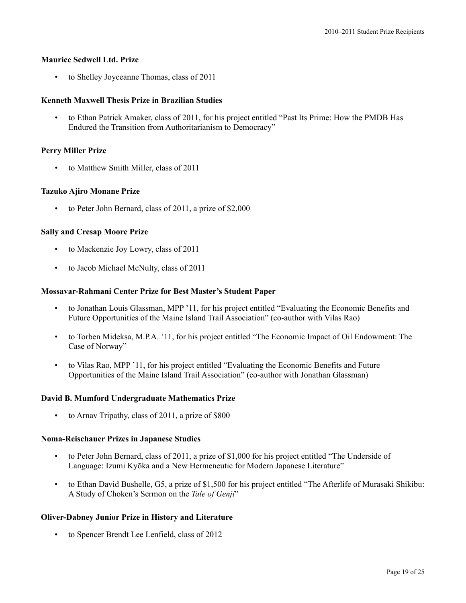## **Maurice Sedwell Ltd. Prize**

• to Shelley Joyceanne Thomas, class of 2011

# **Kenneth Maxwell Thesis Prize in Brazilian Studies**

• to Ethan Patrick Amaker, class of 2011, for his project entitled "Past Its Prime: How the PMDB Has Endured the Transition from Authoritarianism to Democracy"

# **Perry Miller Prize**

to Matthew Smith Miller, class of 2011

## **Tazuko Ajiro Monane Prize**

• to Peter John Bernard, class of 2011, a prize of \$2,000

## **Sally and Cresap Moore Prize**

- to Mackenzie Joy Lowry, class of 2011
- to Jacob Michael McNulty, class of 2011

## **Mossavar-Rahmani Center Prize for Best Master's Student Paper**

- to Jonathan Louis Glassman, MPP '11, for his project entitled "Evaluating the Economic Benefits and Future Opportunities of the Maine Island Trail Association" (co-author with Vilas Rao)
- to Torben Mideksa, M.P.A. '11, for his project entitled "The Economic Impact of Oil Endowment: The Case of Norway"
- to Vilas Rao, MPP '11, for his project entitled "Evaluating the Economic Benefits and Future Opportunities of the Maine Island Trail Association" (co-author with Jonathan Glassman)

#### **David B. Mumford Undergraduate Mathematics Prize**

• to Arnav Tripathy, class of 2011, a prize of \$800

#### **Noma-Reischauer Prizes in Japanese Studies**

- to Peter John Bernard, class of 2011, a prize of \$1,000 for his project entitled "The Underside of Language: Izumi Kyōka and a New Hermeneutic for Modern Japanese Literature"
- to Ethan David Bushelle, G5, a prize of \$1,500 for his project entitled "The Afterlife of Murasaki Shikibu: A Study of Choken's Sermon on the *Tale of Genji*"

#### **Oliver-Dabney Junior Prize in History and Literature**

• to Spencer Brendt Lee Lenfield, class of 2012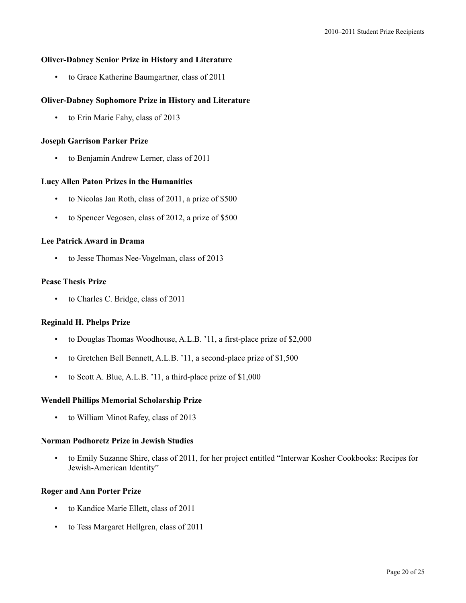## **Oliver-Dabney Senior Prize in History and Literature**

• to Grace Katherine Baumgartner, class of 2011

## **Oliver-Dabney Sophomore Prize in History and Literature**

• to Erin Marie Fahy, class of 2013

#### **Joseph Garrison Parker Prize**

to Benjamin Andrew Lerner, class of 2011

# **Lucy Allen Paton Prizes in the Humanities**

- to Nicolas Jan Roth, class of 2011, a prize of \$500
- to Spencer Vegosen, class of 2012, a prize of \$500

## **Lee Patrick Award in Drama**

• to Jesse Thomas Nee-Vogelman, class of 2013

# **Pease Thesis Prize**

• to Charles C. Bridge, class of 2011

## **Reginald H. Phelps Prize**

- to Douglas Thomas Woodhouse, A.L.B. '11, a first-place prize of \$2,000
- to Gretchen Bell Bennett, A.L.B. '11, a second-place prize of \$1,500
- to Scott A. Blue, A.L.B. '11, a third-place prize of \$1,000

#### **Wendell Phillips Memorial Scholarship Prize**

• to William Minot Rafey, class of 2013

#### **Norman Podhoretz Prize in Jewish Studies**

• to Emily Suzanne Shire, class of 2011, for her project entitled "Interwar Kosher Cookbooks: Recipes for Jewish-American Identity"

## **Roger and Ann Porter Prize**

- to Kandice Marie Ellett, class of 2011
- to Tess Margaret Hellgren, class of 2011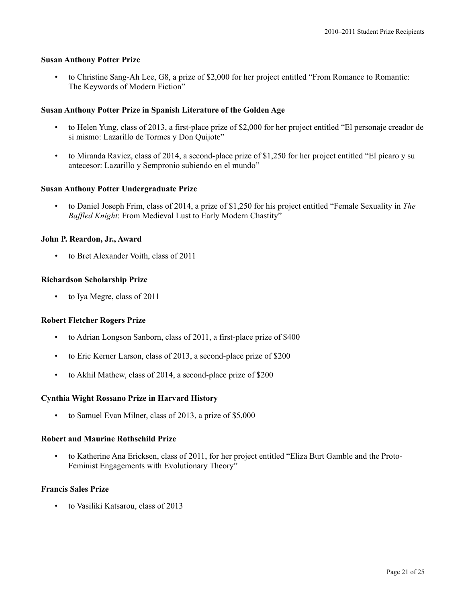# **Susan Anthony Potter Prize**

• to Christine Sang-Ah Lee, G8, a prize of \$2,000 for her project entitled "From Romance to Romantic: The Keywords of Modern Fiction"

# **Susan Anthony Potter Prize in Spanish Literature of the Golden Age**

- to Helen Yung, class of 2013, a first-place prize of \$2,000 for her project entitled "El personaje creador de sí mismo: Lazarillo de Tormes y Don Quijote"
- to Miranda Ravicz, class of 2014, a second-place prize of \$1,250 for her project entitled "El pícaro y su antecesor: Lazarillo y Sempronio subiendo en el mundo"

## **Susan Anthony Potter Undergraduate Prize**

• to Daniel Joseph Frim, class of 2014, a prize of \$1,250 for his project entitled "Female Sexuality in *The Baffled Knight*: From Medieval Lust to Early Modern Chastity"

## **John P. Reardon, Jr., Award**

• to Bret Alexander Voith, class of 2011

#### **Richardson Scholarship Prize**

• to Iya Megre, class of 2011

#### **Robert Fletcher Rogers Prize**

- to Adrian Longson Sanborn, class of 2011, a first-place prize of \$400
- to Eric Kerner Larson, class of 2013, a second-place prize of \$200
- to Akhil Mathew, class of 2014, a second-place prize of \$200

# **Cynthia Wight Rossano Prize in Harvard History**

to Samuel Evan Milner, class of 2013, a prize of \$5,000

#### **Robert and Maurine Rothschild Prize**

• to Katherine Ana Ericksen, class of 2011, for her project entitled "Eliza Burt Gamble and the Proto-Feminist Engagements with Evolutionary Theory"

#### **Francis Sales Prize**

• to Vasiliki Katsarou, class of 2013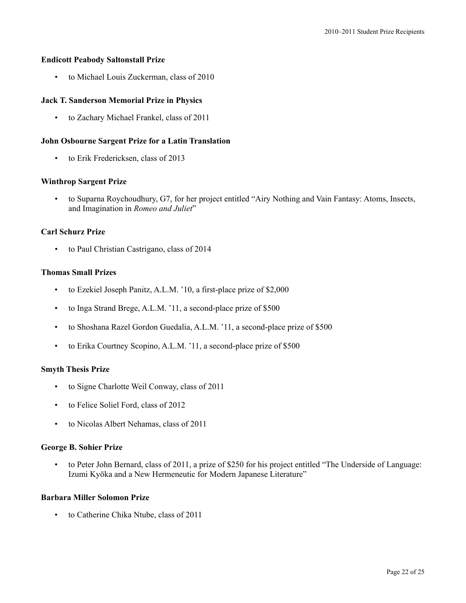#### **Endicott Peabody Saltonstall Prize**

• to Michael Louis Zuckerman, class of 2010

## **Jack T. Sanderson Memorial Prize in Physics**

• to Zachary Michael Frankel, class of 2011

## **John Osbourne Sargent Prize for a Latin Translation**

• to Erik Fredericksen, class of 2013

#### **Winthrop Sargent Prize**

• to Suparna Roychoudhury, G7, for her project entitled "Airy Nothing and Vain Fantasy: Atoms, Insects, and Imagination in *Romeo and Juliet*"

## **Carl Schurz Prize**

• to Paul Christian Castrigano, class of 2014

## **Thomas Small Prizes**

- to Ezekiel Joseph Panitz, A.L.M. '10, a first-place prize of \$2,000
- to Inga Strand Brege, A.L.M. '11, a second-place prize of \$500
- to Shoshana Razel Gordon Guedalia, A.L.M. '11, a second-place prize of \$500
- to Erika Courtney Scopino, A.L.M. '11, a second-place prize of \$500

#### **Smyth Thesis Prize**

- to Signe Charlotte Weil Conway, class of 2011
- to Felice Soliel Ford, class of 2012
- to Nicolas Albert Nehamas, class of 2011

#### **George B. Sohier Prize**

• to Peter John Bernard, class of 2011, a prize of \$250 for his project entitled "The Underside of Language: Izumi Kyōka and a New Hermeneutic for Modern Japanese Literature"

#### **Barbara Miller Solomon Prize**

• to Catherine Chika Ntube, class of 2011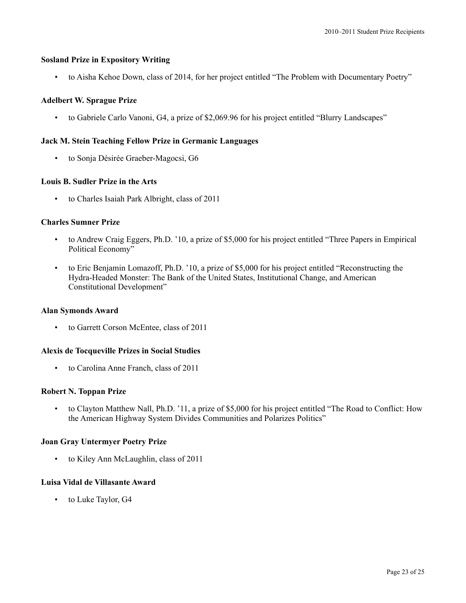## **Sosland Prize in Expository Writing**

• to Aisha Kehoe Down, class of 2014, for her project entitled "The Problem with Documentary Poetry"

## **Adelbert W. Sprague Prize**

• to Gabriele Carlo Vanoni, G4, a prize of \$2,069.96 for his project entitled "Blurry Landscapes"

## **Jack M. Stein Teaching Fellow Prize in Germanic Languages**

• to Sonja Désirée Graeber-Magocsi, G6

# **Louis B. Sudler Prize in the Arts**

• to Charles Isaiah Park Albright, class of 2011

## **Charles Sumner Prize**

- to Andrew Craig Eggers, Ph.D. '10, a prize of \$5,000 for his project entitled "Three Papers in Empirical Political Economy"
- to Eric Benjamin Lomazoff, Ph.D. '10, a prize of \$5,000 for his project entitled "Reconstructing the Hydra-Headed Monster: The Bank of the United States, Institutional Change, and American Constitutional Development"

#### **Alan Symonds Award**

• to Garrett Corson McEntee, class of 2011

#### **Alexis de Tocqueville Prizes in Social Studies**

• to Carolina Anne Franch, class of 2011

#### **Robert N. Toppan Prize**

• to Clayton Matthew Nall, Ph.D. '11, a prize of \$5,000 for his project entitled "The Road to Conflict: How the American Highway System Divides Communities and Polarizes Politics"

# **Joan Gray Untermyer Poetry Prize**

• to Kiley Ann McLaughlin, class of 2011

## **Luisa Vidal de Villasante Award**

• to Luke Taylor, G4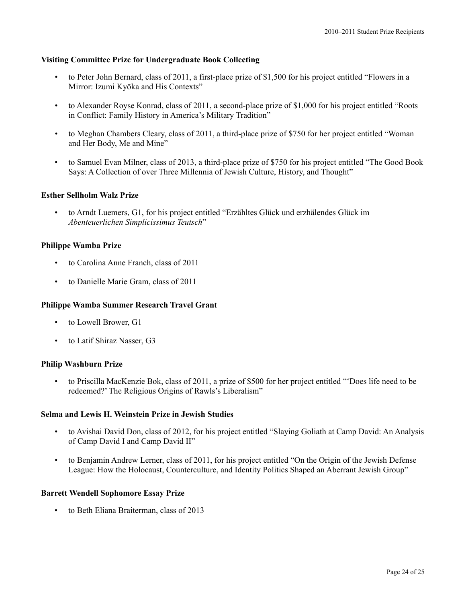## **Visiting Committee Prize for Undergraduate Book Collecting**

- to Peter John Bernard, class of 2011, a first-place prize of \$1,500 for his project entitled "Flowers in a Mirror: Izumi Kyōka and His Contexts"
- to Alexander Royse Konrad, class of 2011, a second-place prize of \$1,000 for his project entitled "Roots in Conflict: Family History in America's Military Tradition"
- to Meghan Chambers Cleary, class of 2011, a third-place prize of \$750 for her project entitled "Woman and Her Body, Me and Mine"
- to Samuel Evan Milner, class of 2013, a third-place prize of \$750 for his project entitled "The Good Book Says: A Collection of over Three Millennia of Jewish Culture, History, and Thought"

## **Esther Sellholm Walz Prize**

• to Arndt Luemers, G1, for his project entitled "Erzähltes Glück und erzhälendes Glück im *Abenteuerlichen Simplicissimus Teutsch*"

## **Philippe Wamba Prize**

- to Carolina Anne Franch, class of 2011
- to Danielle Marie Gram, class of 2011

#### **Philippe Wamba Summer Research Travel Grant**

- to Lowell Brower, G1
- to Latif Shiraz Nasser, G3

#### **Philip Washburn Prize**

• to Priscilla MacKenzie Bok, class of 2011, a prize of \$500 for her project entitled "'Does life need to be redeemed?' The Religious Origins of Rawls's Liberalism"

# **Selma and Lewis H. Weinstein Prize in Jewish Studies**

- to Avishai David Don, class of 2012, for his project entitled "Slaying Goliath at Camp David: An Analysis of Camp David I and Camp David II"
- to Benjamin Andrew Lerner, class of 2011, for his project entitled "On the Origin of the Jewish Defense League: How the Holocaust, Counterculture, and Identity Politics Shaped an Aberrant Jewish Group"

#### **Barrett Wendell Sophomore Essay Prize**

• to Beth Eliana Braiterman, class of 2013